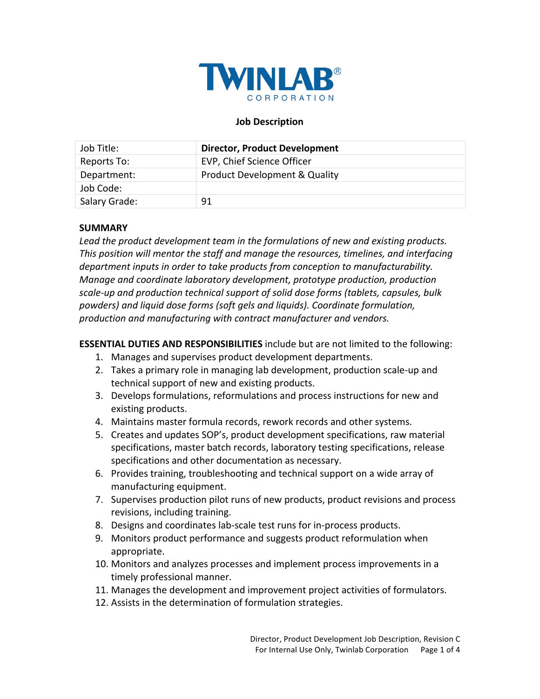

#### **Job Description**

| Job Title:    | <b>Director, Product Development</b>     |
|---------------|------------------------------------------|
| Reports To:   | EVP, Chief Science Officer               |
| Department:   | <b>Product Development &amp; Quality</b> |
| Job Code:     |                                          |
| Salary Grade: | 91                                       |

#### **SUMMARY**

Lead the product development team in the formulations of new and existing products. This position will mentor the staff and manage the resources, timelines, and interfacing *department inputs in order to take products from conception to manufacturability. Manage and coordinate laboratory development, prototype production, production* scale-up and production technical support of solid dose forms (tablets, capsules, bulk *powders) and liquid dose forms (soft gels and liquids). Coordinate formulation,*  production and manufacturing with contract manufacturer and vendors.

**ESSENTIAL DUTIES AND RESPONSIBILITIES** include but are not limited to the following:

- 1. Manages and supervises product development departments.
- 2. Takes a primary role in managing lab development, production scale-up and technical support of new and existing products.
- 3. Develops formulations, reformulations and process instructions for new and existing products.
- 4. Maintains master formula records, rework records and other systems.
- 5. Creates and updates SOP's, product development specifications, raw material specifications, master batch records, laboratory testing specifications, release specifications and other documentation as necessary.
- 6. Provides training, troubleshooting and technical support on a wide array of manufacturing equipment.
- 7. Supervises production pilot runs of new products, product revisions and process revisions, including training.
- 8. Designs and coordinates lab-scale test runs for in-process products.
- 9. Monitors product performance and suggests product reformulation when appropriate.
- 10. Monitors and analyzes processes and implement process improvements in a timely professional manner.
- 11. Manages the development and improvement project activities of formulators.
- 12. Assists in the determination of formulation strategies.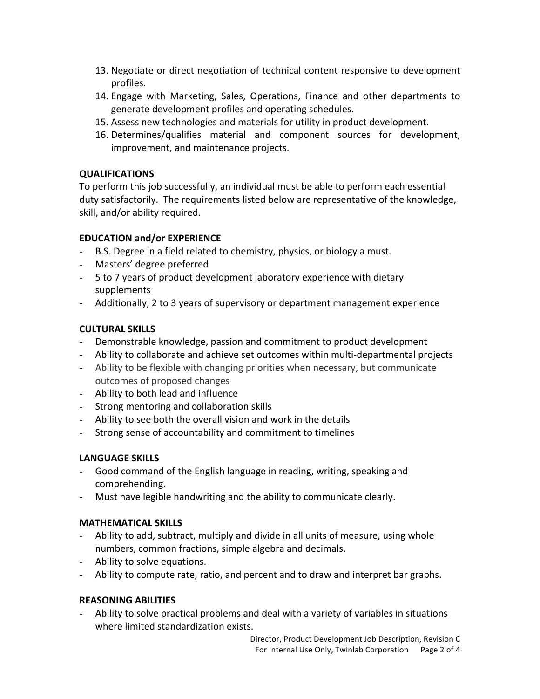- 13. Negotiate or direct negotiation of technical content responsive to development profiles.
- 14. Engage with Marketing, Sales, Operations, Finance and other departments to generate development profiles and operating schedules.
- 15. Assess new technologies and materials for utility in product development.
- 16. Determines/qualifies material and component sources for development, improvement, and maintenance projects.

## **QUALIFICATIONS**

To perform this job successfully, an individual must be able to perform each essential duty satisfactorily. The requirements listed below are representative of the knowledge, skill, and/or ability required.

# **EDUCATION and/or EXPERIENCE**

- B.S. Degree in a field related to chemistry, physics, or biology a must.
- Masters' degree preferred
- 5 to 7 years of product development laboratory experience with dietary supplements
- Additionally, 2 to 3 years of supervisory or department management experience

# **CULTURAL SKILLS**

- Demonstrable knowledge, passion and commitment to product development
- Ability to collaborate and achieve set outcomes within multi-departmental projects
- Ability to be flexible with changing priorities when necessary, but communicate outcomes of proposed changes
- Ability to both lead and influence
- Strong mentoring and collaboration skills
- Ability to see both the overall vision and work in the details
- Strong sense of accountability and commitment to timelines

# **LANGUAGE SKILLS**

- Good command of the English language in reading, writing, speaking and comprehending.
- Must have legible handwriting and the ability to communicate clearly.

# **MATHEMATICAL SKILLS**

- Ability to add, subtract, multiply and divide in all units of measure, using whole numbers, common fractions, simple algebra and decimals.
- Ability to solve equations.
- Ability to compute rate, ratio, and percent and to draw and interpret bar graphs.

#### **REASONING ABILITIES**

Ability to solve practical problems and deal with a variety of variables in situations where limited standardization exists.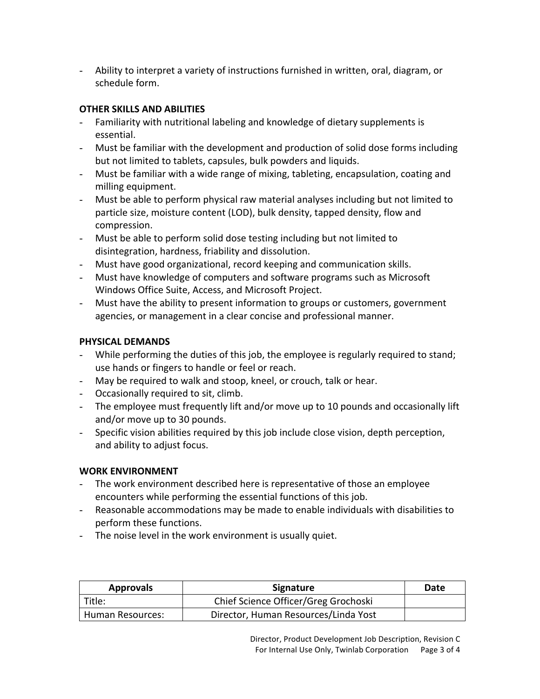- Ability to interpret a variety of instructions furnished in written, oral, diagram, or schedule form.

## **OTHER SKILLS AND ABILITIES**

- Familiarity with nutritional labeling and knowledge of dietary supplements is essential.
- Must be familiar with the development and production of solid dose forms including but not limited to tablets, capsules, bulk powders and liquids.
- Must be familiar with a wide range of mixing, tableting, encapsulation, coating and milling equipment.
- Must be able to perform physical raw material analyses including but not limited to particle size, moisture content (LOD), bulk density, tapped density, flow and compression.
- Must be able to perform solid dose testing including but not limited to disintegration, hardness, friability and dissolution.
- Must have good organizational, record keeping and communication skills.
- Must have knowledge of computers and software programs such as Microsoft Windows Office Suite, Access, and Microsoft Project.
- Must have the ability to present information to groups or customers, government agencies, or management in a clear concise and professional manner.

## **PHYSICAL DEMANDS**

- While performing the duties of this job, the employee is regularly required to stand; use hands or fingers to handle or feel or reach.
- May be required to walk and stoop, kneel, or crouch, talk or hear.
- Occasionally required to sit, climb.
- The employee must frequently lift and/or move up to 10 pounds and occasionally lift and/or move up to 30 pounds.
- Specific vision abilities required by this job include close vision, depth perception, and ability to adjust focus.

#### **WORK ENVIRONMENT**

- The work environment described here is representative of those an employee encounters while performing the essential functions of this job.
- Reasonable accommodations may be made to enable individuals with disabilities to perform these functions.
- The noise level in the work environment is usually quiet.

| <b>Approvals</b> | Signature                            | Date |
|------------------|--------------------------------------|------|
| Title:           | Chief Science Officer/Greg Grochoski |      |
| Human Resources: | Director, Human Resources/Linda Yost |      |